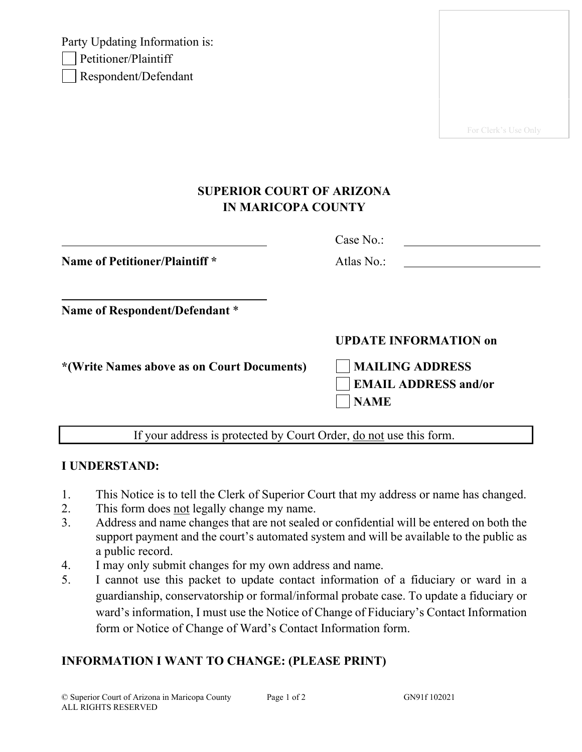Party Updating Information is: Petitioner/Plaintiff Respondent/Defendant

For Clerk's Use Only

## **SUPERIOR COURT OF ARIZONA IN MARICOPA COUNTY**

|                                            | Case No.:                                                            |
|--------------------------------------------|----------------------------------------------------------------------|
| <b>Name of Petitioner/Plaintiff *</b>      | Atlas No.:                                                           |
| Name of Respondent/Defendant *             |                                                                      |
|                                            | <b>UPDATE INFORMATION on</b>                                         |
| *(Write Names above as on Court Documents) | <b>MAILING ADDRESS</b><br><b>EMAIL ADDRESS and/or</b><br><b>NAME</b> |
|                                            |                                                                      |

If your address is protected by Court Order, do not use this form.

## **I UNDERSTAND:**

- 1. This Notice is to tell the Clerk of Superior Court that my address or name has changed.
- 2. This form does not legally change my name.
- 3. Address and name changes that are not sealed or confidential will be entered on both the support payment and the court's automated system and will be available to the public as a public record.
- 4. I may only submit changes for my own address and name.
- 5. I cannot use this packet to update contact information of a fiduciary or ward in a guardianship, conservatorship or formal/informal probate case. To update a fiduciary or ward's information, I must use the Notice of Change of Fiduciary's Contact Information form or Notice of Change of Ward's Contact Information form.

## **INFORMATION I WANT TO CHANGE: (PLEASE PRINT)**